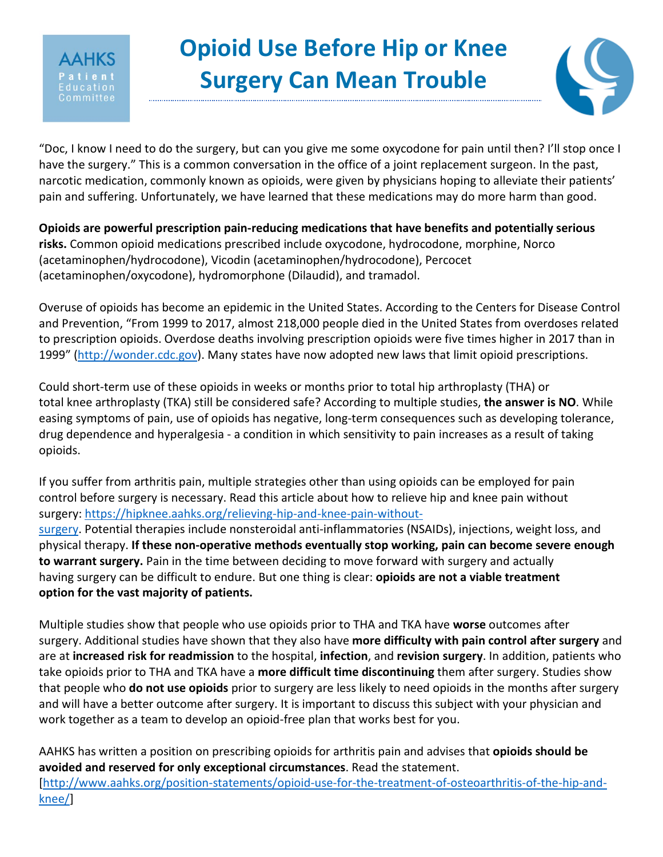**AAHKS** ommittee;

## **Opioid Use Before Hip or Knee Surgery Can Mean Trouble**



"Doc, I know I need to do the surgery, but can you give me some oxycodone for pain until then? I'll stop once I have the surgery." This is a common conversation in the office of a joint replacement surgeon. In the past, narcotic medication, commonly known as opioids, were given by physicians hoping to alleviate their patients' pain and suffering. Unfortunately, we have learned that these medications may do more harm than good.

**Opioids are powerful prescription pain-reducing medications that have benefits and potentially serious risks.** Common opioid medications prescribed include oxycodone, hydrocodone, morphine, Norco (acetaminophen/hydrocodone), Vicodin (acetaminophen/hydrocodone), Percocet (acetaminophen/oxycodone), hydromorphone (Dilaudid), and tramadol.

Overuse of opioids has become an epidemic in the United States. According to the Centers for Disease Control and Prevention, "From 1999 to 2017, almost 218,000 people died in the United States from overdoses related to prescription opioids. Overdose deaths involving prescription opioids were five times higher in 2017 than in 1999" [\(http://wonder.cdc.gov\)](http://wonder.cdc.gov/). Many states have now adopted new laws that limit opioid prescriptions.

Could short-term use of these opioids in weeks or months prior to total hip arthroplasty (THA) or total knee arthroplasty (TKA) still be considered safe? According to multiple studies, **the answer is NO**. While easing symptoms of pain, use of opioids has negative, long-term consequences such as developing tolerance, drug dependence and hyperalgesia - a condition in which sensitivity to pain increases as a result of taking opioids.

If you suffer from arthritis pain, multiple strategies other than using opioids can be employed for pain control before surgery is necessary. Read this article about how to relieve hip and knee pain without surgery: [https://hipknee.aahks.org/relieving-hip-and-knee-pain-without](https://hipknee.aahks.org/relieving-hip-and-knee-pain-without-surgery/)[surgery.](https://hipknee.aahks.org/relieving-hip-and-knee-pain-without-surgery/) Potential therapies include nonsteroidal anti-inflammatories (NSAIDs), injections, weight loss, and physical therapy. **If these non-operative methods eventually stop working, pain can become severe enough to warrant surgery.** Pain in the time between deciding to move forward with surgery and actually having surgery can be difficult to endure. But one thing is clear: **opioids are not a viable treatment option for the vast majority of patients.** 

Multiple studies show that people who use opioids prior to THA and TKA have **worse** outcomes after surgery. Additional studies have shown that they also have **more difficulty with pain control after surgery** and are at **increased risk for readmission** to the hospital, **infection**, and **revision surgery**. In addition, patients who take opioids prior to THA and TKA have a **more difficult time discontinuing** them after surgery. Studies show that people who **do not use opioids** prior to surgery are less likely to need opioids in the months after surgery and will have a better outcome after surgery. It is important to discuss this subject with your physician and work together as a team to develop an opioid-free plan that works best for you.

AAHKS has written a position on prescribing opioids for arthritis pain and advises that **opioids should be avoided and reserved for only exceptional circumstances**. Read the statement. [\[http://www.aahks.org/position-statements/opioid-use-for-the-treatment-of-osteoarthritis-of-the-hip-and](http://www.aahks.org/position-statements/opioid-use-for-the-treatment-of-osteoarthritis-of-the-hip-and-knee/)[knee/\]](http://www.aahks.org/position-statements/opioid-use-for-the-treatment-of-osteoarthritis-of-the-hip-and-knee/)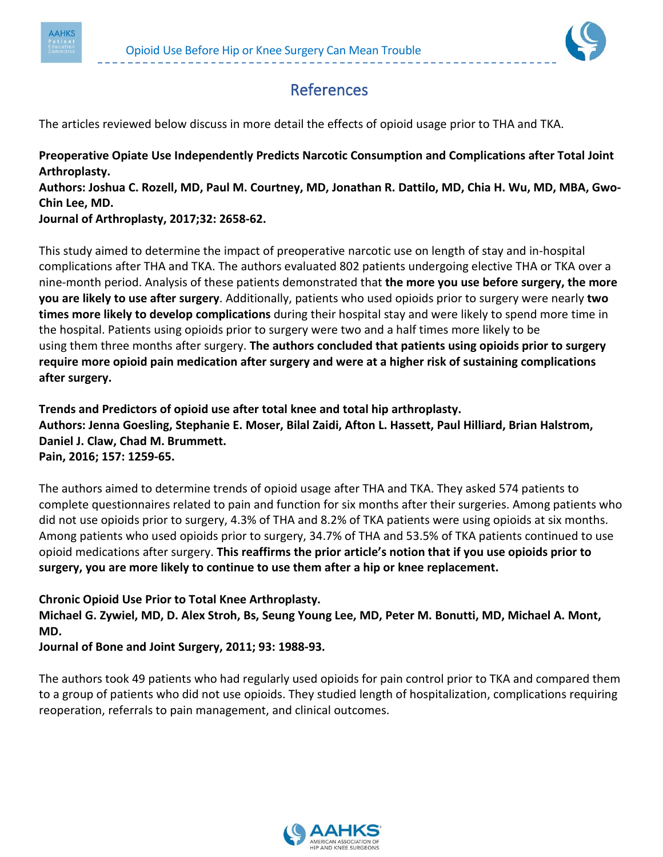



## References

The articles reviewed below discuss in more detail the effects of opioid usage prior to THA and TKA.

**Preoperative Opiate Use Independently Predicts Narcotic Consumption and Complications after Total Joint Arthroplasty.**

**Authors: Joshua C. Rozell, MD, Paul M. Courtney, MD, Jonathan R. Dattilo, MD, Chia H. Wu, MD, MBA, Gwo-Chin Lee, MD.**

**Journal of Arthroplasty, 2017;32: 2658-62.**

This study aimed to determine the impact of preoperative narcotic use on length of stay and in-hospital complications after THA and TKA. The authors evaluated 802 patients undergoing elective THA or TKA over a nine-month period. Analysis of these patients demonstrated that **the more you use before surgery, the more you are likely to use after surgery**. Additionally, patients who used opioids prior to surgery were nearly **two times more likely to develop complications** during their hospital stay and were likely to spend more time in the hospital. Patients using opioids prior to surgery were two and a half times more likely to be using them three months after surgery. **The authors concluded that patients using opioids prior to surgery require more opioid pain medication after surgery and were at a higher risk of sustaining complications after surgery.** 

**Trends and Predictors of opioid use after total knee and total hip arthroplasty. Authors: Jenna Goesling, Stephanie E. Moser, Bilal Zaidi, Afton L. Hassett, Paul Hilliard, Brian Halstrom, Daniel J. Claw, Chad M. Brummett. Pain, 2016; 157: 1259-65.**

The authors aimed to determine trends of opioid usage after THA and TKA. They asked 574 patients to complete questionnaires related to pain and function for six months after their surgeries. Among patients who did not use opioids prior to surgery, 4.3% of THA and 8.2% of TKA patients were using opioids at six months. Among patients who used opioids prior to surgery, 34.7% of THA and 53.5% of TKA patients continued to use opioid medications after surgery. **This reaffirms the prior article's notion that if you use opioids prior to surgery, you are more likely to continue to use them after a hip or knee replacement.**

**Chronic Opioid Use Prior to Total Knee Arthroplasty. Michael G. Zywiel, MD, D. Alex Stroh, Bs, Seung Young Lee, MD, Peter M. Bonutti, MD, Michael A. Mont, MD.**

**Journal of Bone and Joint Surgery, 2011; 93: 1988-93.**

The authors took 49 patients who had regularly used opioids for pain control prior to TKA and compared them to a group of patients who did not use opioids. They studied length of hospitalization, complications requiring reoperation, referrals to pain management, and clinical outcomes.